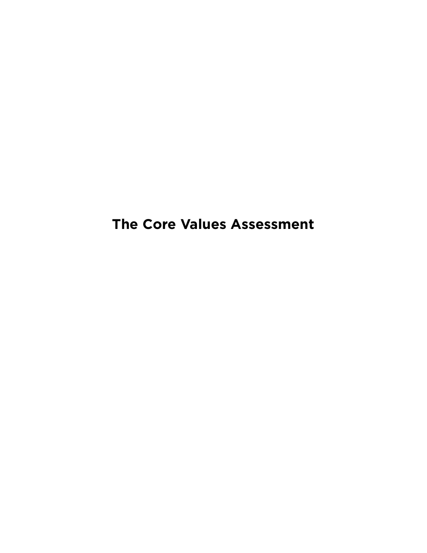**The Core Values Assessment**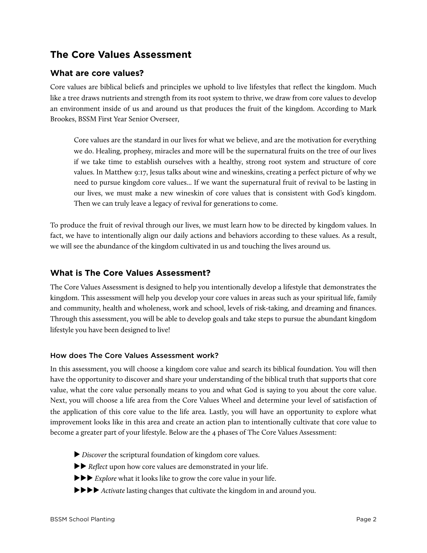# **The Core Values Assessment**

## **What are core values?**

Core values are biblical beliefs and principles we uphold to live lifestyles that reflect the kingdom. Much like a tree draws nutrients and strength from its root system to thrive, we draw from core values to develop an environment inside of us and around us that produces the fruit of the kingdom. According to Mark Brookes, BSSM First Year Senior Overseer,

Core values are the standard in our lives for what we believe, and are the motivation for everything we do. Healing, prophesy, miracles and more will be the supernatural fruits on the tree of our lives if we take time to establish ourselves with a healthy, strong root system and structure of core values. In Matthew 9:17, Jesus talks about wine and wineskins, creating a perfect picture of why we need to pursue kingdom core values... If we want the supernatural fruit of revival to be lasting in our lives, we must make a new wineskin of core values that is consistent with God's kingdom. Then we can truly leave a legacy of revival for generations to come.

To produce the fruit of revival through our lives, we must learn how to be directed by kingdom values. In fact, we have to intentionally align our daily actions and behaviors according to these values. As a result, we will see the abundance of the kingdom cultivated in us and touching the lives around us.

## **What is The Core Values Assessment?**

The Core Values Assessment is designed to help you intentionally develop a lifestyle that demonstrates the kingdom. This assessment will help you develop your core values in areas such as your spiritual life, family and community, health and wholeness, work and school, levels of risk-taking, and dreaming and finances. Through this assessment, you will be able to develop goals and take steps to pursue the abundant kingdom lifestyle you have been designed to live!

#### How does The Core Values Assessment work?

In this assessment, you will choose a kingdom core value and search its biblical foundation. You will then have the opportunity to discover and share your understanding of the biblical truth that supports that core value, what the core value personally means to you and what God is saying to you about the core value. Next, you will choose a life area from the Core Values Wheel and determine your level of satisfaction of the application of this core value to the life area. Lastly, you will have an opportunity to explore what improvement looks like in this area and create an action plan to intentionally cultivate that core value to become a greater part of your lifestyle. Below are the 4 phases of The Core Values Assessment:

- ▶ *Discover* the scriptural foundation of kingdom core values.
- ▶▶ *Reflect* upon how core values are demonstrated in your life.
- ▶▶▶ *Explore* what it looks like to grow the core value in your life.
- ▶▶▶▶ *Activate* lasting changes that cultivate the kingdom in and around you.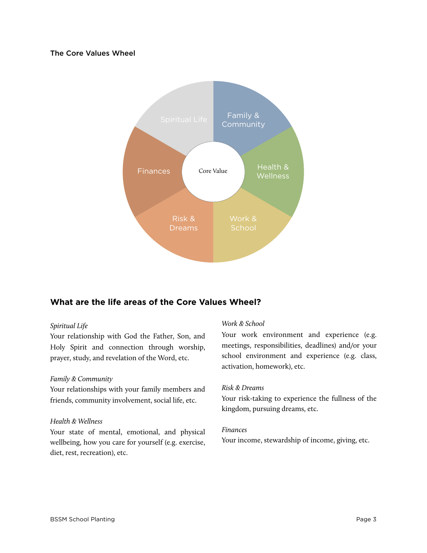### The Core Values Wheel



## **What are the life areas of the Core Values Wheel?**

#### *Spiritual Life*

Your relationship with God the Father, Son, and Holy Spirit and connection through worship, prayer, study, and revelation of the Word, etc.

#### *Family & Community*

Your relationships with your family members and friends, community involvement, social life, etc.

#### *Health & Wellness*

Your state of mental, emotional, and physical wellbeing, how you care for yourself (e.g. exercise, diet, rest, recreation), etc.

#### *Work & School*

Your work environment and experience (e.g. meetings, responsibilities, deadlines) and/or your school environment and experience (e.g. class, activation, homework), etc.

#### *Risk & Dreams*

Your risk-taking to experience the fullness of the kingdom, pursuing dreams, etc.

#### *Finances*

Your income, stewardship of income, giving, etc.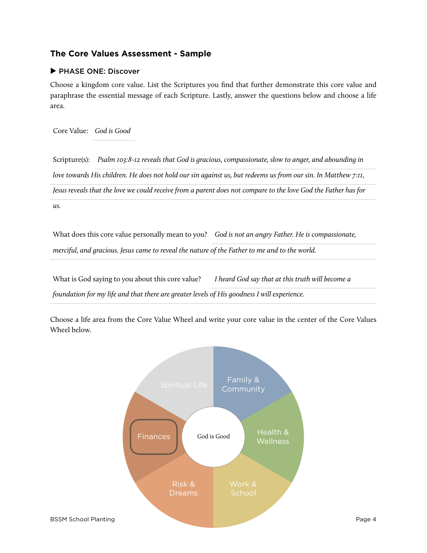## **The Core Values Assessment - Sample**

### **▶** PHASE ONE: Discover

Choose a kingdom core value. List the Scriptures you find that further demonstrate this core value and paraphrase the essential message of each Scripture. Lastly, answer the questions below and choose a life area.

Core Value: *God is Good*

Scripture(s): *Psalm 103:8-12 reveals that God is gracious, compassionate, slow to anger, and abounding in love towards His children. He does not hold our sin against us, but redeems us from our sin. In Matthew 7:11, Jesus reveals that the love we could receive from a parent does not compare to the love God the Father has for us.* 

What does this core value personally mean to you? *God is not an angry Father. He is compassionate, merciful, and gracious. Jesus came to reveal the nature of the Father to me and to the world.*

What is God saying to you about this core value? *I heard God say that at this truth will become a foundation for my life and that there are greater levels of His goodness I will experience.*

Choose a life area from the Core Value Wheel and write your core value in the center of the Core Values Wheel below.

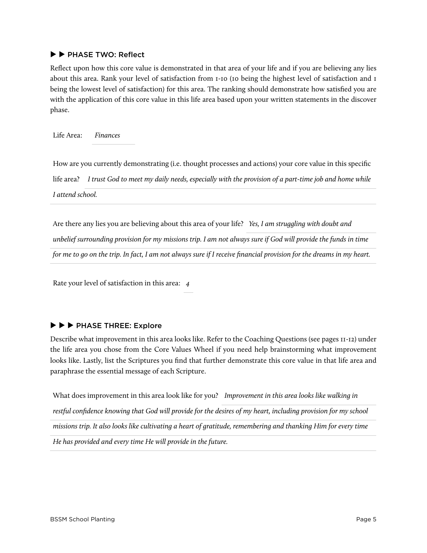#### **▶ ▶** PHASE TWO: Reflect

Reflect upon how this core value is demonstrated in that area of your life and if you are believing any lies about this area. Rank your level of satisfaction from 1-10 (10 being the highest level of satisfaction and 1 being the lowest level of satisfaction) for this area. The ranking should demonstrate how satisfied you are with the application of this core value in this life area based upon your written statements in the discover phase.

Life Area: *Finances*

How are you currently demonstrating (i.e. thought processes and actions) your core value in this specific life area? *I trust God to meet my daily needs, especially with the provision of a part-time job and home while I attend school.*

Are there any lies you are believing about this area of your life? *Yes, I am struggling with doubt and unbelief surrounding provision for my missions trip. I am not always sure if God will provide the funds in time for me to go on the trip. In fact, I am not always sure if I receive financial provision for the dreams in my heart.*

Rate your level of satisfaction in this area: *4*

## **▶ ▶ ▶** PHASE THREE: Explore

Describe what improvement in this area looks like. Refer to the Coaching Questions (see pages 11-12) under the life area you chose from the Core Values Wheel if you need help brainstorming what improvement looks like. Lastly, list the Scriptures you find that further demonstrate this core value in that life area and paraphrase the essential message of each Scripture.

What does improvement in this area look like for you? *Improvement in this area looks like walking in restful confidence knowing that God will provide for the desires of my heart, including provision for my school missions trip. It also looks like cultivating a heart of gratitude, remembering and thanking Him for every time He has provided and every time He will provide in the future.*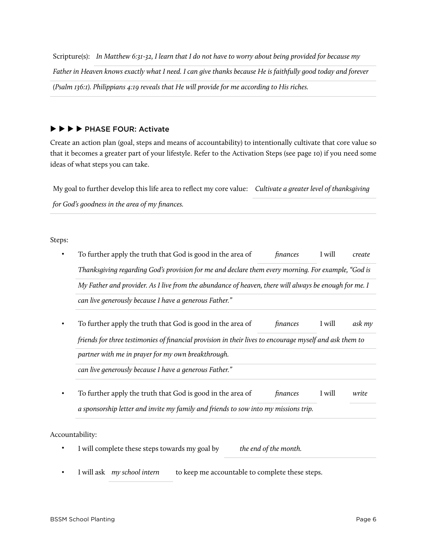Scripture(s): *In Matthew 6:31-32, I learn that I do not have to worry about being provided for because my Father in Heaven knows exactly what I need. I can give thanks because He is faithfully good today and forever (Psalm 136:1). Philippians 4:19 reveals that He will provide for me according to His riches.*

**▶ ▶ ▶ ▶** PHASE FOUR: Activate

Create an action plan (goal, steps and means of accountability) to intentionally cultivate that core value so that it becomes a greater part of your lifestyle. Refer to the Activation Steps (see page 10) if you need some ideas of what steps you can take.

My goal to further develop this life area to reflect my core value: *Cultivate a greater level of thanksgiving for God's goodness in the area of my finances.*

Steps:

| To further apply the truth that God is good in the area of                                              | finances | I will | create |
|---------------------------------------------------------------------------------------------------------|----------|--------|--------|
| Thanksgiving regarding God's provision for me and declare them every morning. For example, "God is      |          |        |        |
| My Father and provider. As I live from the abundance of heaven, there will always be enough for me. I   |          |        |        |
| can live generously because I have a generous Father."                                                  |          |        |        |
| To further apply the truth that God is good in the area of                                              | finances | I will | ask my |
| friends for three testimonies of financial provision in their lives to encourage myself and ask them to |          |        |        |
| partner with me in prayer for my own breakthrough.                                                      |          |        |        |
| can live generously because I have a generous Father."                                                  |          |        |        |
|                                                                                                         |          | I will | write  |
| To further apply the truth that God is good in the area of                                              | finances |        |        |

- I will complete these steps towards my goal by *the end of the month.*
- I will ask *my school intern* to keep me accountable to complete these steps.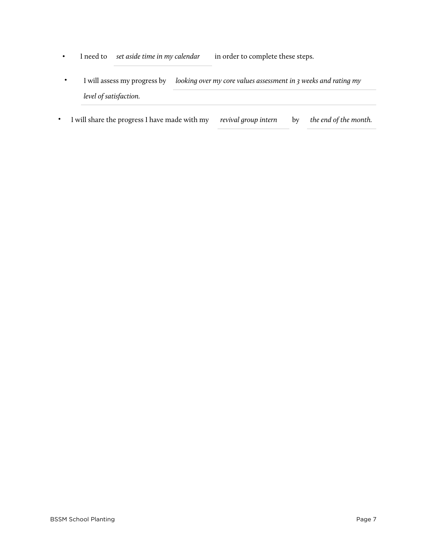- I need to *set aside time in my calendar* in order to complete these steps.
- I will assess my progress by *looking over my core values assessment in 3 weeks and rating my level of satisfaction.*
- I will share the progress I have made with my *revival group intern* by *the end of the month.*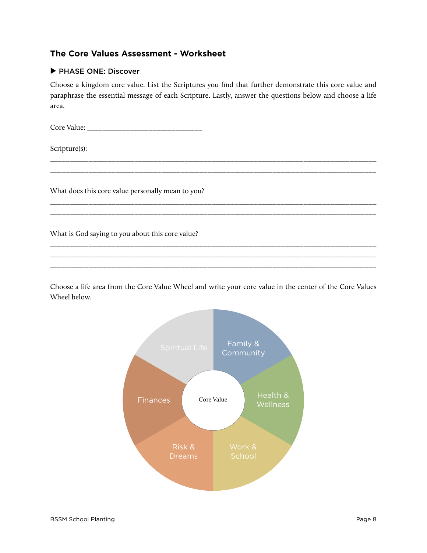## **The Core Values Assessment - Worksheet**

### **▶** PHASE ONE: Discover

Choose a kingdom core value. List the Scriptures you find that further demonstrate this core value and paraphrase the essential message of each Scripture. Lastly, answer the questions below and choose a life area.

\_\_\_\_\_\_\_\_\_\_\_\_\_\_\_\_\_\_\_\_\_\_\_\_\_\_\_\_\_\_\_\_\_\_\_\_\_\_\_\_\_\_\_\_\_\_\_\_\_\_\_\_\_\_\_\_\_\_\_\_\_\_\_\_\_\_\_\_\_\_\_\_\_\_\_\_\_\_\_\_\_\_\_\_\_ \_\_\_\_\_\_\_\_\_\_\_\_\_\_\_\_\_\_\_\_\_\_\_\_\_\_\_\_\_\_\_\_\_\_\_\_\_\_\_\_\_\_\_\_\_\_\_\_\_\_\_\_\_\_\_\_\_\_\_\_\_\_\_\_\_\_\_\_\_\_\_\_\_\_\_\_\_\_\_\_\_\_\_\_\_

\_\_\_\_\_\_\_\_\_\_\_\_\_\_\_\_\_\_\_\_\_\_\_\_\_\_\_\_\_\_\_\_\_\_\_\_\_\_\_\_\_\_\_\_\_\_\_\_\_\_\_\_\_\_\_\_\_\_\_\_\_\_\_\_\_\_\_\_\_\_\_\_\_\_\_\_\_\_\_\_\_\_\_\_\_ \_\_\_\_\_\_\_\_\_\_\_\_\_\_\_\_\_\_\_\_\_\_\_\_\_\_\_\_\_\_\_\_\_\_\_\_\_\_\_\_\_\_\_\_\_\_\_\_\_\_\_\_\_\_\_\_\_\_\_\_\_\_\_\_\_\_\_\_\_\_\_\_\_\_\_\_\_\_\_\_\_\_\_\_\_

\_\_\_\_\_\_\_\_\_\_\_\_\_\_\_\_\_\_\_\_\_\_\_\_\_\_\_\_\_\_\_\_\_\_\_\_\_\_\_\_\_\_\_\_\_\_\_\_\_\_\_\_\_\_\_\_\_\_\_\_\_\_\_\_\_\_\_\_\_\_\_\_\_\_\_\_\_\_\_\_\_\_\_\_\_ \_\_\_\_\_\_\_\_\_\_\_\_\_\_\_\_\_\_\_\_\_\_\_\_\_\_\_\_\_\_\_\_\_\_\_\_\_\_\_\_\_\_\_\_\_\_\_\_\_\_\_\_\_\_\_\_\_\_\_\_\_\_\_\_\_\_\_\_\_\_\_\_\_\_\_\_\_\_\_\_\_\_\_\_\_ \_\_\_\_\_\_\_\_\_\_\_\_\_\_\_\_\_\_\_\_\_\_\_\_\_\_\_\_\_\_\_\_\_\_\_\_\_\_\_\_\_\_\_\_\_\_\_\_\_\_\_\_\_\_\_\_\_\_\_\_\_\_\_\_\_\_\_\_\_\_\_\_\_\_\_\_\_\_\_\_\_\_\_\_\_

Core Value: \_\_\_\_\_\_\_\_\_\_\_\_\_\_\_\_\_\_\_\_\_\_\_\_\_\_\_\_\_\_

Scripture(s):

What does this core value personally mean to you?

What is God saying to you about this core value?

Choose a life area from the Core Value Wheel and write your core value in the center of the Core Values Wheel below.

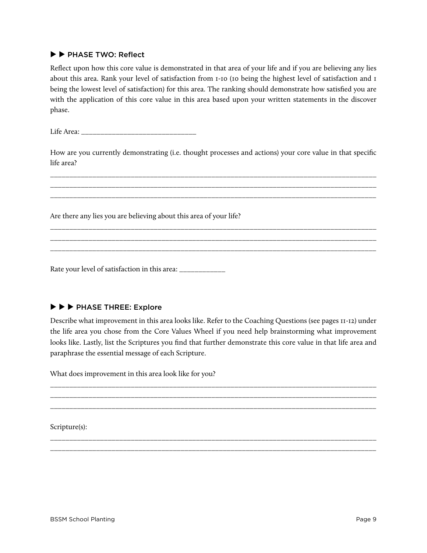### **▶ ▶** PHASE TWO: Reflect

Reflect upon how this core value is demonstrated in that area of your life and if you are believing any lies about this area. Rank your level of satisfaction from 1-10 (10 being the highest level of satisfaction and 1 being the lowest level of satisfaction) for this area. The ranking should demonstrate how satisfied you are with the application of this core value in this area based upon your written statements in the discover phase.

Life Area:

How are you currently demonstrating (i.e. thought processes and actions) your core value in that specific life area?

\_\_\_\_\_\_\_\_\_\_\_\_\_\_\_\_\_\_\_\_\_\_\_\_\_\_\_\_\_\_\_\_\_\_\_\_\_\_\_\_\_\_\_\_\_\_\_\_\_\_\_\_\_\_\_\_\_\_\_\_\_\_\_\_\_\_\_\_\_\_\_\_\_\_\_\_\_\_\_\_\_\_\_\_\_ \_\_\_\_\_\_\_\_\_\_\_\_\_\_\_\_\_\_\_\_\_\_\_\_\_\_\_\_\_\_\_\_\_\_\_\_\_\_\_\_\_\_\_\_\_\_\_\_\_\_\_\_\_\_\_\_\_\_\_\_\_\_\_\_\_\_\_\_\_\_\_\_\_\_\_\_\_\_\_\_\_\_\_\_\_ \_\_\_\_\_\_\_\_\_\_\_\_\_\_\_\_\_\_\_\_\_\_\_\_\_\_\_\_\_\_\_\_\_\_\_\_\_\_\_\_\_\_\_\_\_\_\_\_\_\_\_\_\_\_\_\_\_\_\_\_\_\_\_\_\_\_\_\_\_\_\_\_\_\_\_\_\_\_\_\_\_\_\_\_\_

\_\_\_\_\_\_\_\_\_\_\_\_\_\_\_\_\_\_\_\_\_\_\_\_\_\_\_\_\_\_\_\_\_\_\_\_\_\_\_\_\_\_\_\_\_\_\_\_\_\_\_\_\_\_\_\_\_\_\_\_\_\_\_\_\_\_\_\_\_\_\_\_\_\_\_\_\_\_\_\_\_\_\_\_\_ \_\_\_\_\_\_\_\_\_\_\_\_\_\_\_\_\_\_\_\_\_\_\_\_\_\_\_\_\_\_\_\_\_\_\_\_\_\_\_\_\_\_\_\_\_\_\_\_\_\_\_\_\_\_\_\_\_\_\_\_\_\_\_\_\_\_\_\_\_\_\_\_\_\_\_\_\_\_\_\_\_\_\_\_\_ \_\_\_\_\_\_\_\_\_\_\_\_\_\_\_\_\_\_\_\_\_\_\_\_\_\_\_\_\_\_\_\_\_\_\_\_\_\_\_\_\_\_\_\_\_\_\_\_\_\_\_\_\_\_\_\_\_\_\_\_\_\_\_\_\_\_\_\_\_\_\_\_\_\_\_\_\_\_\_\_\_\_\_\_\_

Are there any lies you are believing about this area of your life?

Rate your level of satisfaction in this area: \_\_\_\_\_\_\_\_\_\_\_\_\_

## **▶ ▶ ▶** PHASE THREE: Explore

Describe what improvement in this area looks like. Refer to the Coaching Questions (see pages 11-12) under the life area you chose from the Core Values Wheel if you need help brainstorming what improvement looks like. Lastly, list the Scriptures you find that further demonstrate this core value in that life area and paraphrase the essential message of each Scripture.

\_\_\_\_\_\_\_\_\_\_\_\_\_\_\_\_\_\_\_\_\_\_\_\_\_\_\_\_\_\_\_\_\_\_\_\_\_\_\_\_\_\_\_\_\_\_\_\_\_\_\_\_\_\_\_\_\_\_\_\_\_\_\_\_\_\_\_\_\_\_\_\_\_\_\_\_\_\_\_\_\_\_\_\_\_ \_\_\_\_\_\_\_\_\_\_\_\_\_\_\_\_\_\_\_\_\_\_\_\_\_\_\_\_\_\_\_\_\_\_\_\_\_\_\_\_\_\_\_\_\_\_\_\_\_\_\_\_\_\_\_\_\_\_\_\_\_\_\_\_\_\_\_\_\_\_\_\_\_\_\_\_\_\_\_\_\_\_\_\_\_ \_\_\_\_\_\_\_\_\_\_\_\_\_\_\_\_\_\_\_\_\_\_\_\_\_\_\_\_\_\_\_\_\_\_\_\_\_\_\_\_\_\_\_\_\_\_\_\_\_\_\_\_\_\_\_\_\_\_\_\_\_\_\_\_\_\_\_\_\_\_\_\_\_\_\_\_\_\_\_\_\_\_\_\_\_

\_\_\_\_\_\_\_\_\_\_\_\_\_\_\_\_\_\_\_\_\_\_\_\_\_\_\_\_\_\_\_\_\_\_\_\_\_\_\_\_\_\_\_\_\_\_\_\_\_\_\_\_\_\_\_\_\_\_\_\_\_\_\_\_\_\_\_\_\_\_\_\_\_\_\_\_\_\_\_\_\_\_\_\_\_ \_\_\_\_\_\_\_\_\_\_\_\_\_\_\_\_\_\_\_\_\_\_\_\_\_\_\_\_\_\_\_\_\_\_\_\_\_\_\_\_\_\_\_\_\_\_\_\_\_\_\_\_\_\_\_\_\_\_\_\_\_\_\_\_\_\_\_\_\_\_\_\_\_\_\_\_\_\_\_\_\_\_\_\_\_

What does improvement in this area look like for you?

Scripture(s):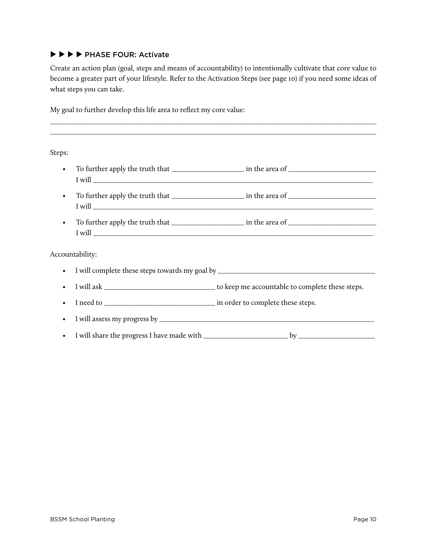## **▶ ▶ ▶ ▶** PHASE FOUR: Activate

Create an action plan (goal, steps and means of accountability) to intentionally cultivate that core value to become a greater part of your lifestyle. Refer to the Activation Steps (see page 10) if you need some ideas of what steps you can take.

\_\_\_\_\_\_\_\_\_\_\_\_\_\_\_\_\_\_\_\_\_\_\_\_\_\_\_\_\_\_\_\_\_\_\_\_\_\_\_\_\_\_\_\_\_\_\_\_\_\_\_\_\_\_\_\_\_\_\_\_\_\_\_\_\_\_\_\_\_\_\_\_\_\_\_\_\_\_\_\_\_\_\_\_\_

My goal to further develop this life area to reflect my core value:

Steps:

- To further apply the truth that \_\_\_\_\_\_\_\_\_\_\_\_\_\_\_\_\_\_\_ in the area of \_\_\_\_\_\_\_\_\_\_\_\_\_\_\_\_\_\_\_\_\_\_\_ **I** will • To further apply the truth that \_\_\_\_\_\_\_\_\_\_\_\_\_\_\_\_\_\_\_ in the area of \_\_\_\_\_\_\_\_\_\_\_\_\_\_\_\_\_\_\_\_\_\_\_ I will \_\_\_\_\_\_\_\_\_\_\_\_\_\_\_\_\_\_\_\_\_\_\_\_\_\_\_\_\_\_\_\_\_\_\_\_\_\_\_\_\_\_\_\_\_\_\_\_\_\_\_\_\_\_\_\_\_\_\_\_\_\_\_\_\_\_\_\_\_\_\_\_\_
- To further apply the truth that \_\_\_\_\_\_\_\_\_\_\_\_\_\_\_\_\_\_\_ in the area of \_\_\_\_\_\_\_\_\_\_\_\_\_\_\_\_\_\_\_\_\_\_\_  $I will$

Accountability:

- I will complete these steps towards my goal by \_\_\_\_\_\_\_\_\_\_\_\_\_\_\_\_\_\_\_\_\_\_\_\_\_\_\_\_\_\_\_\_\_\_\_\_\_\_\_\_\_
- I will ask \_\_\_\_\_\_\_\_\_\_\_\_\_\_\_\_\_\_\_\_\_\_\_\_\_\_\_\_\_\_\_ to keep me accountable to complete these steps.
- I need to \_\_\_\_\_\_\_\_\_\_\_\_\_\_\_\_\_\_\_\_\_\_\_\_\_\_\_\_\_\_ in order to complete these steps.
- I will assess my progress by \_\_\_\_\_\_\_\_\_\_\_\_\_\_\_\_\_\_\_\_\_\_\_\_\_\_\_\_\_\_\_\_\_\_\_\_\_\_\_\_\_\_\_\_\_\_\_\_\_\_\_\_\_\_\_\_
- I will share the progress I have made with by  $\mathbf{b}$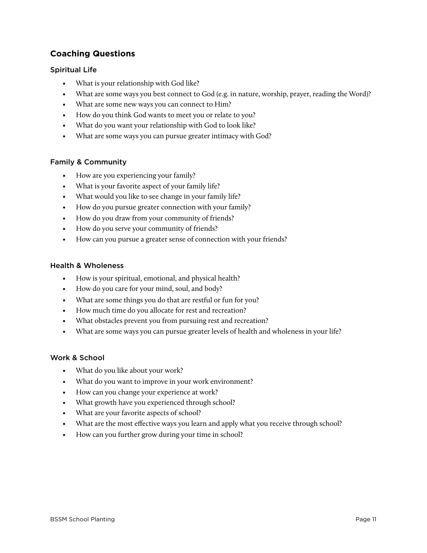## **Coaching Questions**

#### Spiritual Life

- What is your relationship with God like?
- What are some ways you best connect to God (e.g. in nature, worship, prayer, reading the Word)?
- What are some new ways you can connect to Him?
- How do you think God wants to meet you or relate to you?
- What do you want your relationship with God to look like?
- What are some ways you can pursue greater intimacy with God?

#### Family & Community

- How are you experiencing your family?
- What is your favorite aspect of your family life?
- What would you like to see change in your family life?
- How do you pursue greater connection with your family?
- How do you draw from your community of friends?
- How do you serve your community of friends?
- How can you pursue a greater sense of connection with your friends?

#### Health & Wholeness

- How is your spiritual, emotional, and physical health?
- How do you care for your mind, soul, and body?
- What are some things you do that are restful or fun for you?
- How much time do you allocate for rest and recreation?
- What obstacles prevent you from pursuing rest and recreation?
- What are some ways you can pursue greater levels of health and wholeness in your life?

#### Work & School

- What do you like about your work?
- What do you want to improve in your work environment?
- How can you change your experience at work?
- What growth have you experienced through school?
- What are your favorite aspects of school?
- What are the most effective ways you learn and apply what you receive through school?
- How can you further grow during your time in school?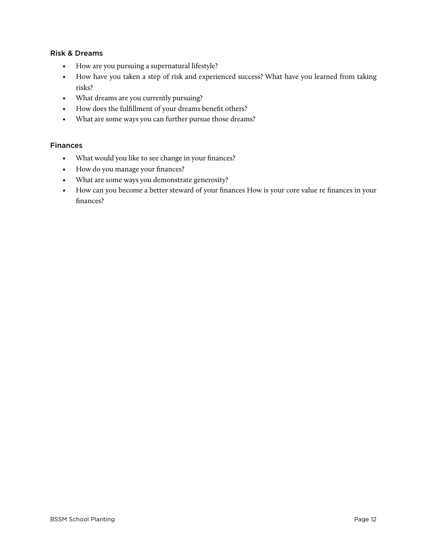### Risk & Dreams

- How are you pursuing a supernatural lifestyle?
- How have you taken a step of risk and experienced success? What have you learned from taking risks?
- What dreams are you currently pursuing?
- How does the fulfillment of your dreams benefit others?
- What are some ways you can further pursue those dreams?

#### Finances

- What would you like to see change in your finances?
- How do you manage your finances?
- What are some ways you demonstrate generosity?
- How can you become a better steward of your finances How is your core value re finances in your finances?